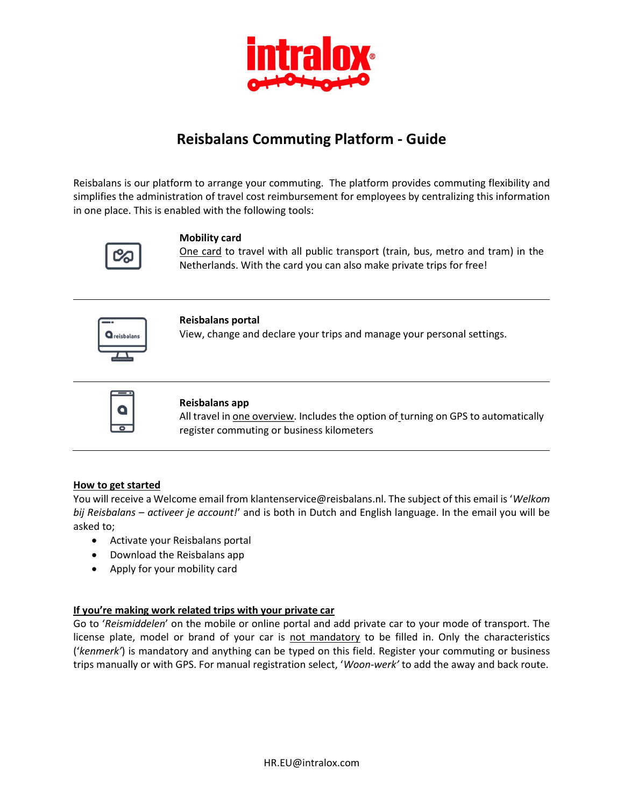

# Reisbalans Commuting Platform - Guide

Reisbalans is our platform to arrange your commuting. The platform provides commuting flexibility and simplifies the administration of travel cost reimbursement for employees by centralizing this information in one place. This is enabled with the following tools:



## Mobility card

One card to travel with all public transport (train, bus, metro and tram) in the Netherlands. With the card you can also make private trips for free!



#### Reisbalans portal

View, change and declare your trips and manage your personal settings.



#### Reisbalans app

All travel in one overview. Includes the option of turning on GPS to automatically register commuting or business kilometers

## How to get started

You will receive a Welcome email from klantenservice@reisbalans.nl. The subject of this email is 'Welkom bij Reisbalans – activeer je account!' and is both in Dutch and English language. In the email you will be asked to;

- Activate your Reisbalans portal
- Download the Reisbalans app
- Apply for your mobility card

## If you're making work related trips with your private car

Go to 'Reismiddelen' on the mobile or online portal and add private car to your mode of transport. The license plate, model or brand of your car is not mandatory to be filled in. Only the characteristics ('kenmerk') is mandatory and anything can be typed on this field. Register your commuting or business trips manually or with GPS. For manual registration select, 'Woon-werk' to add the away and back route.